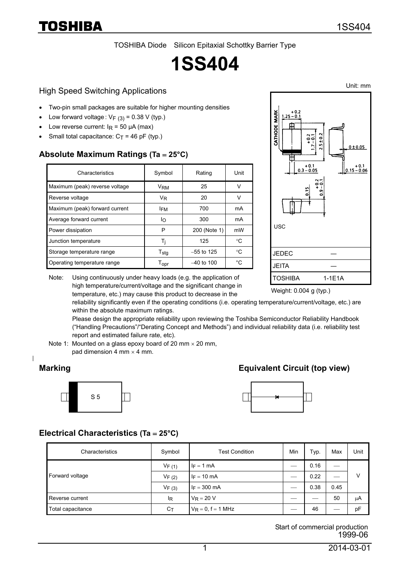TOSHIBA Diode Silicon Epitaxial Schottky Barrier Type

# **1SS404**

#### High Speed Switching Applications

- Two-pin small packages are suitable for higher mounting densities
- Low forward voltage :  $V_F (3) = 0.38 V$  (typ.)
- Low reverse current:  $I<sub>R</sub> = 50 \mu A$  (max)
- Small total capacitance:  $C_T = 46$  pF (typ.)

#### **Absolute Maximum Ratings (Ta** = **25°C)**

| Characteristics                | Symbol             | Rating       | Unit |  |
|--------------------------------|--------------------|--------------|------|--|
| Maximum (peak) reverse voltage | VRM                | 25           | v    |  |
| Reverse voltage                | V <sub>R</sub>     | 20           | v    |  |
| Maximum (peak) forward current | <b>IFM</b>         | 700          | mA   |  |
| Average forward current        | In                 | 300          | mA   |  |
| Power dissipation              | P                  | 200 (Note 1) | mW   |  |
| Junction temperature           | Τi                 | 125          | °C   |  |
| Storage temperature range      | $T_{\text{stg}}$   | $-55$ to 125 | °C   |  |
| Operating temperature range    | $T_{\mathsf{opr}}$ | $-40$ to 100 | °C.  |  |

Note: Using continuously under heavy loads (e.g. the application of

high temperature/current/voltage and the significant change in



Weight: 0.004 g (typ.)

temperature, etc.) may cause this product to decrease in the reliability significantly even if the operating conditions (i.e. operating temperature/current/voltage, etc.) are within the absolute maximum ratings.

Please design the appropriate reliability upon reviewing the Toshiba Semiconductor Reliability Handbook ("Handling Precautions"/"Derating Concept and Methods") and individual reliability data (i.e. reliability test report and estimated failure rate, etc).

Note 1: Mounted on a glass epoxy board of 20 mm  $\times$  20 mm, pad dimension 4 mm  $\times$  4 mm.

## **Marking Equivalent Circuit (top view)**





#### **Electrical Characteristics (Ta** = **25°C)**

| Characteristics   | Symbol     | <b>Test Condition</b> | Min | Typ. | Max  | Unit |
|-------------------|------------|-----------------------|-----|------|------|------|
| Forward voltage   | $V_{F(1)}$ | $I_F = 1$ mA          |     | 0.16 |      | V    |
|                   | $V_{F(2)}$ | $I_F = 10 \text{ mA}$ |     | 0.22 |      |      |
|                   | $V_{F(3)}$ | $I_F = 300$ mA        |     | 0.38 | 0.45 |      |
| Reverse current   | ΙR         | $V_R = 20 V$          |     |      | 50   | μA   |
| Total capacitance | $C_T$      | $V_R = 0$ , f = 1 MHz |     | 46   |      | pF   |

Start of commercial production 1999-06

Unit: mm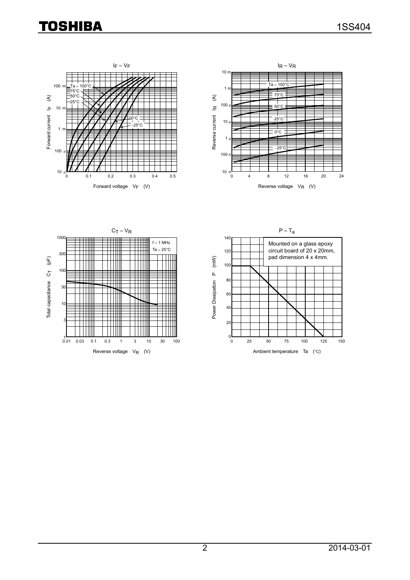# **TOSHIBA**